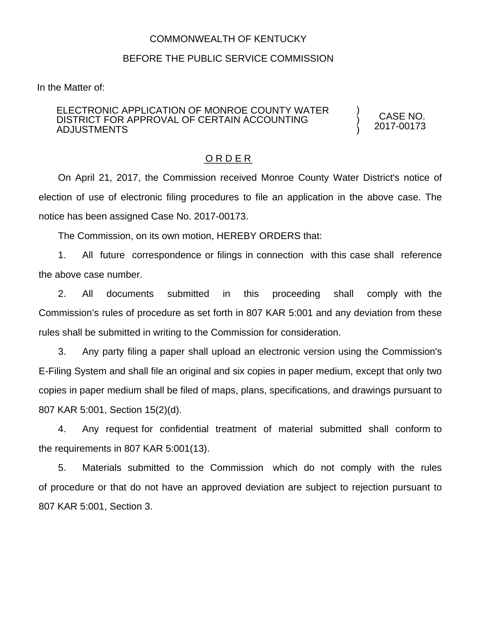## COMMONWEALTH OF KENTUCKY

## BEFORE THE PUBLIC SERVICE COMMISSION

In the Matter of:

#### ELECTRONIC APPLICATION OF MONROE COUNTY WATER DISTRICT FOR APPROVAL OF CERTAIN ACCOUNTING ADJUSTMENTS

CASE NO. 2017-00173

) ) )

### O R D E R

On April 21, 2017, the Commission received Monroe County Water District's notice of election of use of electronic filing procedures to file an application in the above case. The notice has been assigned Case No. 2017-00173.

The Commission, on its own motion, HEREBY ORDERS that:

1. All future correspondence or filings in connection with this case shall reference the above case number.

2. All documents submitted in this proceeding shall comply with the Commission's rules of procedure as set forth in 807 KAR 5:001 and any deviation from these rules shall be submitted in writing to the Commission for consideration.

3. Any party filing a paper shall upload an electronic version using the Commission's E-Filing System and shall file an original and six copies in paper medium, except that only two copies in paper medium shall be filed of maps, plans, specifications, and drawings pursuant to 807 KAR 5:001, Section 15(2)(d).

4. Any request for confidential treatment of material submitted shall conform to the requirements in 807 KAR 5:001(13).

5. Materials submitted to the Commission which do not comply with the rules of procedure or that do not have an approved deviation are subject to rejection pursuant to 807 KAR 5:001, Section 3.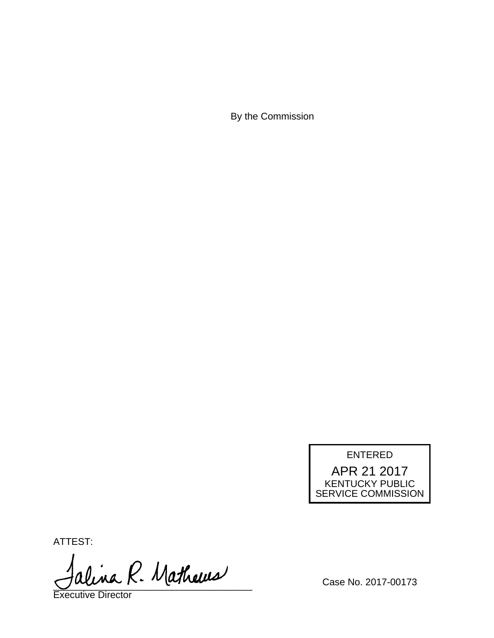By the Commission

# ENTERED APR 21 2017 KENTUCKY PUBLIC SERVICE COMMISSION

ATTEST:

alina R. Mathews

Executive Director

Case No. 2017-00173